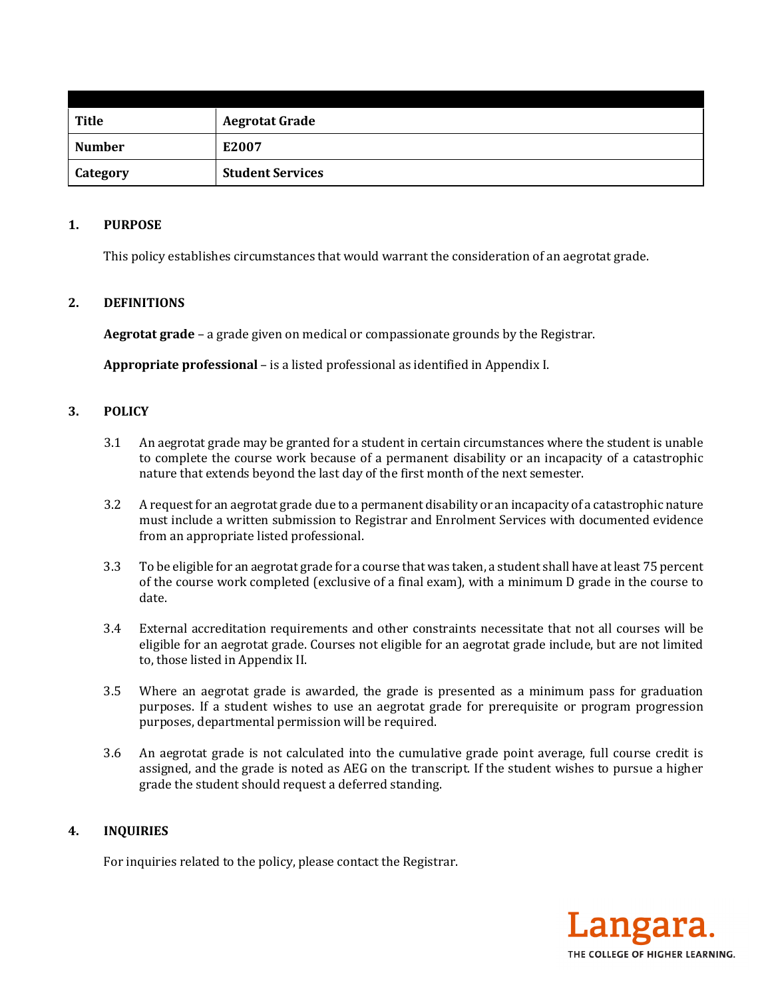| <b>Title</b>    | <b>Aegrotat Grade</b>   |
|-----------------|-------------------------|
| <b>Number</b>   | E2007                   |
| <b>Category</b> | <b>Student Services</b> |

#### **1. PURPOSE**

This policy establishes circumstances that would warrant the consideration of an aegrotat grade.

## **2. DEFINITIONS**

**Aegrotat grade** – a grade given on medical or compassionate grounds by the Registrar.

**Appropriate professional** – is a listed professional as identified in Appendix I.

### **3. POLICY**

- 3.1 An aegrotat grade may be granted for a student in certain circumstances where the student is unable to complete the course work because of a permanent disability or an incapacity of a catastrophic nature that extends beyond the last day of the first month of the next semester.
- 3.2 A request for an aegrotat grade due to a permanent disability or an incapacity of a catastrophic nature must include a written submission to Registrar and Enrolment Services with documented evidence from an appropriate listed professional.
- 3.3 To be eligible for an aegrotat grade for a course that was taken, a student shall have at least 75 percent of the course work completed (exclusive of a final exam), with a minimum D grade in the course to date.
- 3.4 External accreditation requirements and other constraints necessitate that not all courses will be eligible for an aegrotat grade. Courses not eligible for an aegrotat grade include, but are not limited to, those listed in Appendix II.
- 3.5 Where an aegrotat grade is awarded, the grade is presented as a minimum pass for graduation purposes. If a student wishes to use an aegrotat grade for prerequisite or program progression purposes, departmental permission will be required.
- 3.6 An aegrotat grade is not calculated into the cumulative grade point average, full course credit is assigned, and the grade is noted as AEG on the transcript. If the student wishes to pursue a higher grade the student should request a deferred standing.

#### **4. INQUIRIES**

For inquiries related to the policy, please contact the Registrar.